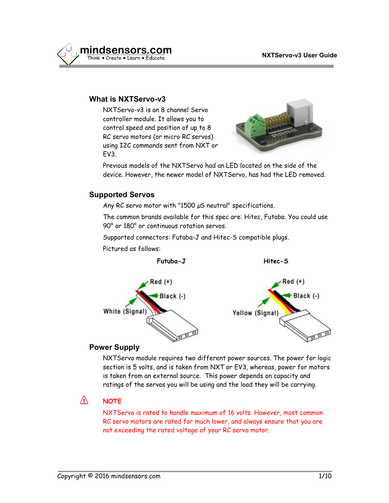

## **What is NXTServo-v3**

NXTServo-v3 is an 8 channel Servo controller module. It allows you to control speed and position of up to 8 RC servo motors (or micro RC servos) using I2C commands sent from NXT or EV3.



Previous models of the NXTServo had an LED located on the side of the device. However, the newer model of NXTServo, has had the LED removed.

## **Supported Servos**

Any RC servo motor with "1500  $\mu$ S neutral" specifications.

The common brands available for this spec are: Hitec, Futaba. You could use 90° or 180° or continuous rotation servos.

Supported connectors: Futaba-J and Hitec-S compatible plugs.

Pictured as follows:



## **Power Supply**

NXTServo module requires two different power sources. The power for logic section is 5 volts, and is taken from NXT or EV3, whereas, power for motors is taken from an external source. This power depends on capacity and ratings of the servos you will be using and the load they will be carrying.

#### Æ. **NOTE**

NXTServo is rated to handle maximum of 16 volts. However, most common RC servo motors are rated for much lower, and always ensure that you are not exceeding the rated voltage of your RC servo motor.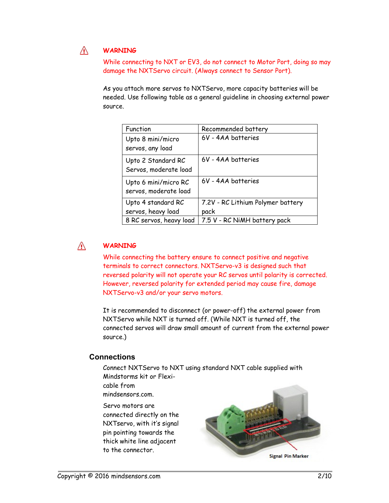#### Æ. **WARNING**

While connecting to NXT or EV3, do not connect to Motor Port, doing so may damage the NXTServo circuit. (Always connect to Sensor Port).

As you attach more servos to NXTServo, more capacity batteries will be needed. Use following table as a general guideline in choosing external power source.

| Function                                      | Recommended battery                       |
|-----------------------------------------------|-------------------------------------------|
| Upto 8 mini/micro<br>servos, any load         | 6V - 4AA batteries                        |
| Upto 2 Standard RC<br>Servos, moderate load   | 6V - 4AA batteries                        |
| Upto 6 mini/micro RC<br>servos, moderate load | 6V - 4AA batteries                        |
| Upto 4 standard RC<br>servos, heavy load      | 7.2V - RC Lithium Polymer battery<br>pack |
| 8 RC servos, heavy load                       | 7.5 V - RC NiMH battery pack              |

#### Æ. **WARNING**

While connecting the battery ensure to connect positive and negative terminals to correct connectors. NXTServo-v3 is designed such that reversed polarity will not operate your RC servos until polarity is corrected. However, reversed polarity for extended period may cause fire, damage NXTServo-v3 and/or your servo motors.

It is recommended to disconnect (or power-off) the external power from NXTServo while NXT is turned off. (While NXT is turned off, the connected servos will draw small amount of current from the external power source.)

### **Connections**

Connect NXTServo to NXT using standard NXT cable supplied with Mindstorms kit or Flexicable from mindsensors.com.

Servo motors are connected directly on the NXTservo, with it's signal pin pointing towards the thick white line adjacent to the connector.

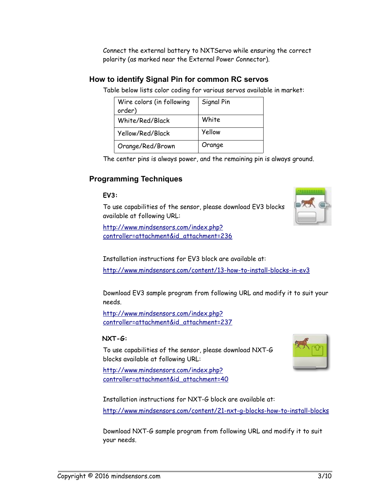Connect the external battery to NXTServo while ensuring the correct polarity (as marked near the External Power Connector).

## **How to identify Signal Pin for common RC servos**

Table below lists color coding for various servos available in market:

| Wire colors (in following<br>order) | Signal Pin |
|-------------------------------------|------------|
| White/Red/Black                     | White      |
| Yellow/Red/Black                    | Yellow     |
| Orange/Red/Brown                    | Orange     |

The center pins is always power, and the remaining pin is always ground.

# **Programming Techniques**

## **EV3:**

To use capabilities of the sensor, please download EV3 blocks available at following URL:

[http://www.mindsensors.com/index.php?](http://www.mindsensors.com/index.php?controller=attachment&id_attachment=236) [controller=attachment&id\\_attachment=236](http://www.mindsensors.com/index.php?controller=attachment&id_attachment=236)

Installation instructions for EV3 block are available at:

<http://www.mindsensors.com/content/13-how-to-install-blocks-in-ev3>

Download EV3 sample program from following URL and modify it to suit your needs.

[http://www.mindsensors.com/index.php?](http://www.mindsensors.com/index.php?controller=attachment&id_attachment=237) [controller=attachment&id\\_attachment=237](http://www.mindsensors.com/index.php?controller=attachment&id_attachment=237)

## **NXT-G:**

To use capabilities of the sensor, please download NXT-G blocks available at following URL:

[http://www.mindsensors.com/index.php?](http://www.mindsensors.com/index.php?controller=attachment&id_attachment=40) [controller=attachment&id\\_attachment=40](http://www.mindsensors.com/index.php?controller=attachment&id_attachment=40)

Installation instructions for NXT-G block are available at: <http://www.mindsensors.com/content/21-nxt-g-blocks-how-to-install-blocks>

Download NXT-G sample program from following URL and modify it to suit your needs.



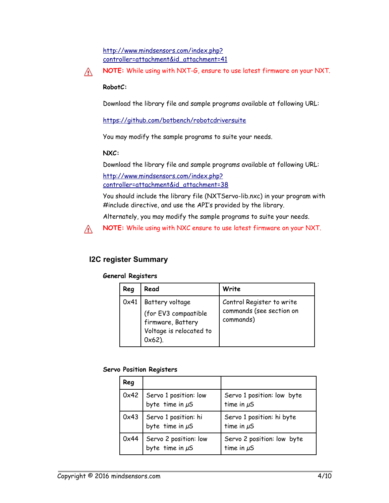[http://www.mindsensors.com/index.php?](http://www.mindsensors.com/index.php?controller=attachment&id_attachment=41) [controller=attachment&id\\_attachment=41](http://www.mindsensors.com/index.php?controller=attachment&id_attachment=41)

**NOTE:** While using with NXT-G, ensure to use latest firmware on your NXT.

### **RobotC:**

Æ.

Λ

Download the library file and sample programs available at following URL:

<https://github.com/botbench/robotcdriversuite>

You may modify the sample programs to suite your needs.

#### **NXC:**

Download the library file and sample programs available at following URL:

[http://www.mindsensors.com/index.php?](http://www.mindsensors.com/index.php?controller=attachment&id_attachment=38) [controller=attachment&id\\_attachment=38](http://www.mindsensors.com/index.php?controller=attachment&id_attachment=38)

You should include the library file (NXTServo-lib.nxc) in your program with #include directive, and use the API's provided by the library.

Alternately, you may modify the sample programs to suite your needs.

**NOTE:** While using with NXC ensure to use latest firmware on your NXT.

# **I2C register Summary**

#### **General Registers**

| Reg  | Read                                                                                                 | Write                                                              |
|------|------------------------------------------------------------------------------------------------------|--------------------------------------------------------------------|
| 0x41 | Battery voltage<br>(for EV3 compaatible<br>firmware, Battery<br>Voltage is relocated to<br>$0x62$ ). | Control Register to write<br>commands (see section on<br>commands) |

### **Servo Position Registers**

| Reg  |                                               |                                               |
|------|-----------------------------------------------|-----------------------------------------------|
| 0x42 | Servo 1 position: low<br>byte time in $\mu$ S | Servo 1 position: low byte<br>time in $\mu$ S |
| 0x43 | Servo 1 position: hi<br>byte time in $\mu$ S  | Servo 1 position: hi byte<br>time in $\mu$ S  |
| 0x44 | Servo 2 position: low<br>byte time in $\mu$ S | Servo 2 position: low byte<br>time in $\mu$ S |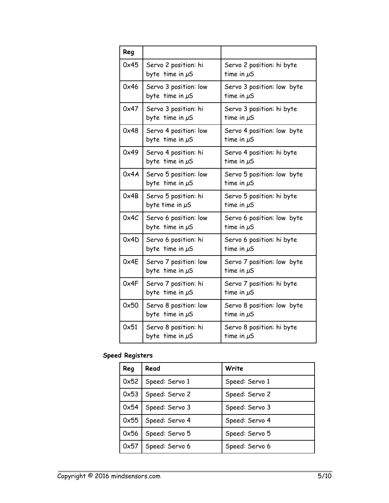| Reg  |                                               |                                               |
|------|-----------------------------------------------|-----------------------------------------------|
| 0x45 | Servo 2 position: hi<br>byte time in $\mu$ S  | Servo 2 position: hi byte<br>time in $\mu$ S  |
| 0x46 | Servo 3 position: low<br>byte time in $\mu$ S | Servo 3 position: low byte<br>time in $\mu$ S |
| 0x47 | Servo 3 position: hi<br>byte time in µS       | Servo 3 position: hi byte<br>time in $\mu$ S  |
| 0x48 | Servo 4 position: low<br>byte time in $\mu$ S | Servo 4 position: low byte<br>time in $\mu$ S |
| 0x49 | Servo 4 position: hi<br>byte time in $\mu$ S  | Servo 4 position: hi byte<br>time in $\mu$ S  |
| 0x4A | Servo 5 position: low<br>byte time in $\mu$ S | Servo 5 position: low byte<br>time in $\mu$ S |
| 0x4B | Servo 5 position: hi<br>byte time in µS       | Servo 5 position: hi byte<br>time in $\mu$ S  |
| 0x4C | Servo 6 position: low<br>byte time in $\mu$ S | Servo 6 position: low byte<br>time in $\mu$ S |
| 0x4D | Servo 6 position: hi<br>byte time in $\mu$ S  | Servo 6 position: hi byte<br>time in $\mu$ S  |
| 0x4E | Servo 7 position: low<br>byte time in $\mu$ S | Servo 7 position: low byte<br>time in $\mu$ S |
| 0x4F | Servo 7 position: hi<br>byte time in $\mu$ S  | Servo 7 position: hi byte<br>time in $\mu$ S  |
| 0x50 | Servo 8 position: low<br>byte time in $\mu$ S | Servo 8 position: low byte<br>time in $\mu$ S |
| 0x51 | Servo 8 position: hi<br>byte time in $\mu$ S  | Servo 8 position: hi byte<br>time in $\mu$ S  |

# **Speed Registers**

| Reg  | Read           | Write          |
|------|----------------|----------------|
| 0x52 | Speed: Servo 1 | Speed: Servo 1 |
| 0x53 | Speed: Servo 2 | Speed: Servo 2 |
| 0x54 | Speed: Servo 3 | Speed: Servo 3 |
| 0x55 | Speed: Servo 4 | Speed: Servo 4 |
| 0x56 | Speed: Servo 5 | Speed: Servo 5 |
| 0x57 | Speed: Servo 6 | Speed: Servo 6 |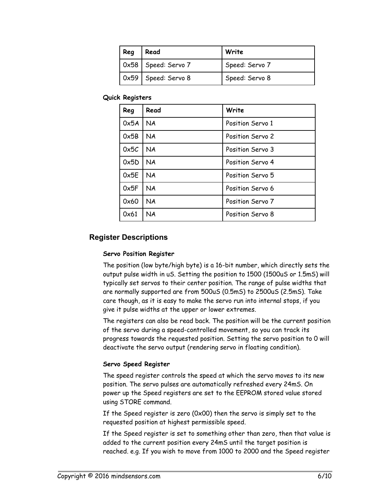| Reg | Read                                | Write          |
|-----|-------------------------------------|----------------|
|     | $\vert$ 0x58 $\vert$ Speed: Servo 7 | Speed: Servo 7 |
|     | $\vert$ 0x59 $\vert$ Speed: Servo 8 | Speed: Servo 8 |

**Quick Registers**

| Reg  | Read      | Write            |
|------|-----------|------------------|
| 0x5A | <b>NA</b> | Position Servo 1 |
| 0x5B | <b>NA</b> | Position Servo 2 |
| 0x5C | <b>NA</b> | Position Servo 3 |
| 0x5D | <b>NA</b> | Position Servo 4 |
| 0x5E | <b>NA</b> | Position Servo 5 |
| 0x5F | <b>NA</b> | Position Servo 6 |
| 0x60 | <b>NA</b> | Position Servo 7 |
| 0x61 | NA        | Position Servo 8 |

## **Register Descriptions**

#### **Servo Position Register**

The position (low byte/high byte) is a 16-bit number, which directly sets the output pulse width in uS. Setting the position to 1500 (1500uS or 1.5mS) will typically set servos to their center position. The range of pulse widths that are normally supported are from 500uS (0.5mS) to 2500uS (2.5mS). Take care though, as it is easy to make the servo run into internal stops, if you give it pulse widths at the upper or lower extremes.

The registers can also be read back. The position will be the current position of the servo during a speed-controlled movement, so you can track its progress towards the requested position. Setting the servo position to 0 will deactivate the servo output (rendering servo in floating condition).

#### **Servo Speed Register**

The speed register controls the speed at which the servo moves to its new position. The servo pulses are automatically refreshed every 24mS. On power up the Speed registers are set to the EEPROM stored value stored using STORE command.

If the Speed register is zero (0x00) then the servo is simply set to the requested position at highest permissible speed.

If the Speed register is set to something other than zero, then that value is added to the current position every 24mS until the target position is reached. e.g. If you wish to move from 1000 to 2000 and the Speed register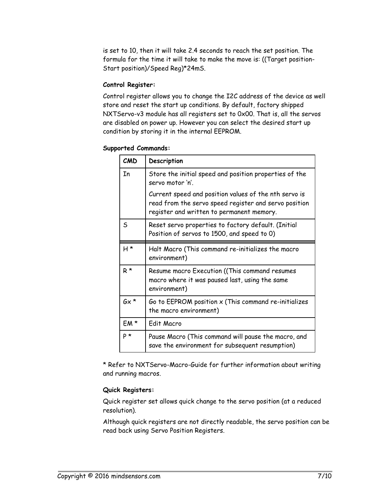is set to 10, then it will take 2.4 seconds to reach the set position. The formula for the time it will take to make the move is: ((Target position-Start position)/Speed Reg)\*24mS.

#### **Control Register:**

Control register allows you to change the I2C address of the device as well store and reset the start up conditions. By default, factory shipped NXTServo-v3 module has all registers set to 0x00. That is, all the servos are disabled on power up. However you can select the desired start up condition by storing it in the internal EEPROM.

|  |  | <b>Supported Commands:</b> |
|--|--|----------------------------|
|--|--|----------------------------|

| CMD         | Description                                                                                                                                                 |
|-------------|-------------------------------------------------------------------------------------------------------------------------------------------------------------|
| In          | Store the initial speed and position properties of the<br>servo motor 'n'.                                                                                  |
|             | Current speed and position values of the nth servo is<br>read from the servo speed register and servo position<br>register and written to permanent memory. |
| S           | Reset servo properties to factory default. (Initial<br>Position of servos to 1500, and speed to 0)                                                          |
| H*          | Halt Macro (This command re-initializes the macro<br>environment)                                                                                           |
| $R^{\star}$ | Resume macro Execution ((This command resumes<br>macro where it was paused last, using the same<br>environment)                                             |
| $Gx *$      | Go to EEPROM position x (This command re-initializes<br>the macro environment)                                                                              |
| EM*         | Edit Macro                                                                                                                                                  |
| $P^*$       | Pause Macro (This command will pause the macro, and<br>save the environment for subsequent resumption)                                                      |

\* Refer to NXTServo-Macro-Guide for further information about writing and running macros.

### **Quick Registers:**

Quick register set allows quick change to the servo position (at a reduced resolution).

Although quick registers are not directly readable, the servo position can be read back using Servo Position Registers.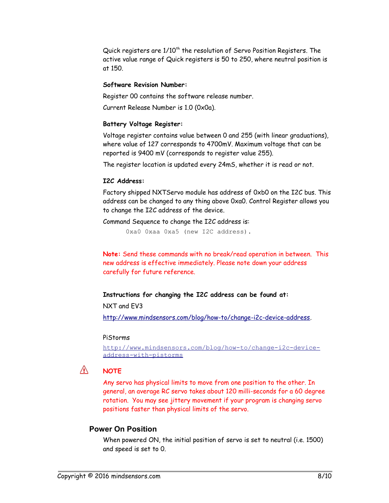Quick registers are 1/10<sup>th</sup> the resolution of Servo Position Registers. The active value range of Quick registers is 50 to 250, where neutral position is at 150.

#### **Software Revision Number:**

Register 00 contains the software release number.

Current Release Number is 1.0 (0x0a).

### **Battery Voltage Register:**

Voltage register contains value between 0 and 255 (with linear graduations), where value of 127 corresponds to 4700mV. Maximum voltage that can be reported is 9400 mV (corresponds to register value 255).

The register location is updated every 24mS, whether it is read or not.

#### **I2C Address:**

Factory shipped NXTServo module has address of 0xb0 on the I2C bus. This address can be changed to any thing above 0xa0. Control Register allows you to change the I2C address of the device.

Command Sequence to change the I2C address is:

0xa0 0xaa 0xa5 (new I2C address).

**Note:** Send these commands with no break/read operation in between. This new address is effective immediately. Please note down your address carefully for future reference.

### **Instructions for changing the I2C address can be found at:**

### NXT and EV3

[http://www.mindsensors.com/blog/how-to/change-i2c-device-address.](http://www.mindsensors.com/blog/how-to/change-i2c-device-address)

#### PiStorms

[http://www.mindsensors.com/blog/how-to/change-i2c-device](http://www.mindsensors.com/blog/how-to/change-i2c-device-address-with-pistorms)[address-with-pistorms](http://www.mindsensors.com/blog/how-to/change-i2c-device-address-with-pistorms)

#### Æ. **NOTE**

Any servo has physical limits to move from one position to the other. In general, an average RC servo takes about 120 milli-seconds for a 60 degree rotation. You may see jittery movement if your program is changing servo positions faster than physical limits of the servo.

## **Power On Position**

When powered ON, the initial position of servo is set to neutral (i.e. 1500) and speed is set to 0.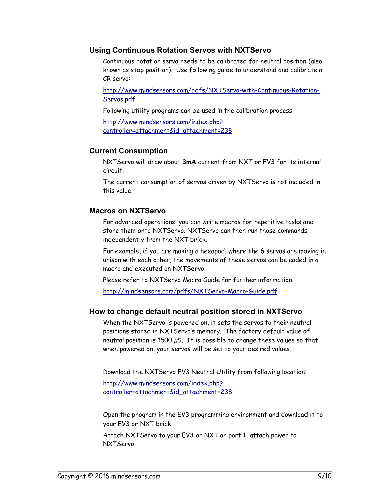## **Using Continuous Rotation Servos with NXTServo**

Continuous rotation servo needs to be calibrated for neutral position (also known as stop position). Use following guide to understand and calibrate a CR servo:

[http://www.mindsensors.com/pdfs/NXTServo-with-Continuous-Rotation-](http://www.mindsensors.com/pdfs/NXTServo-with-Continuous-Rotation-Servos.pdf)[Servos.pdf](http://www.mindsensors.com/pdfs/NXTServo-with-Continuous-Rotation-Servos.pdf)

Following utility programs can be used in the calibration process:

[http://www.mindsensors.com/index.php?](http://www.mindsensors.com/index.php?controller=attachment&id_attachment=238) [controller=attachment&id\\_attachment=238](http://www.mindsensors.com/index.php?controller=attachment&id_attachment=238)

## **Current Consumption**

NXTServo will draw about **3mA** current from NXT or EV3 for its internal circuit.

The current consumption of servos driven by NXTServo is not included in this value.

### **Macros on NXTServo**

For advanced operations, you can write macros for repetitive tasks and store them onto NXTServo. NXTServo can then run those commands independently from the NXT brick.

For example, if you are making a hexapod, where the 6 servos are moving in unison with each other, the movements of these servos can be coded in a macro and executed on NXTServo.

Please refer to NXTServo Macro Guide for further information.

<http://mindsensors.com/pdfs/NXTServo-Macro-Guide.pdf>

## **How to change default neutral position stored in NXTServo**

When the NXTServo is powered on, it sets the servos to their neutral positions stored in NXTServo's memory. The factory default value of neutral position is 1500  $\mu$ S. It is possible to change these values so that when powered on, your servos will be set to your desired values.

Download the NXTServo EV3 Neutral Utility from following location:

[http://www.mindsensors.com/index.php?](http://www.mindsensors.com/index.php?controller=attachment&id_attachment=238) [controller=attachment&id\\_attachment=238](http://www.mindsensors.com/index.php?controller=attachment&id_attachment=238)

Open the program in the EV3 programming environment and download it to your EV3 or NXT brick.

Attach NXTServo to your EV3 or NXT on port 1, attach power to NXTServo.